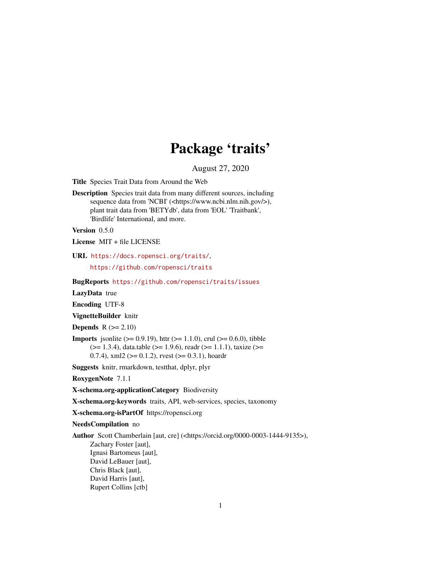# Package 'traits'

August 27, 2020

<span id="page-0-0"></span>Title Species Trait Data from Around the Web

Description Species trait data from many different sources, including sequence data from 'NCBI' (<https://www.ncbi.nlm.nih.gov/>), plant trait data from 'BETYdb', data from 'EOL' 'Traitbank', 'Birdlife' International, and more.

Version 0.5.0

License MIT + file LICENSE

URL <https://docs.ropensci.org/traits/>,

<https://github.com/ropensci/traits>

BugReports <https://github.com/ropensci/traits/issues>

LazyData true

Encoding UTF-8

VignetteBuilder knitr

**Depends**  $R$  ( $>= 2.10$ )

**Imports** jsonlite ( $> = 0.9.19$ ), httr ( $> = 1.1.0$ ), crul ( $> = 0.6.0$ ), tibble  $(>= 1.3.4)$ , data.table ( $>= 1.9.6$ ), readr ( $>= 1.1.1$ ), taxize ( $>= 1.3.4$ ) 0.7.4), xml2 ( $>= 0.1.2$ ), rvest ( $>= 0.3.1$ ), hoardr

Suggests knitr, rmarkdown, testthat, dplyr, plyr

RoxygenNote 7.1.1

X-schema.org-applicationCategory Biodiversity

X-schema.org-keywords traits, API, web-services, species, taxonomy

X-schema.org-isPartOf https://ropensci.org

NeedsCompilation no

Author Scott Chamberlain [aut, cre] (<https://orcid.org/0000-0003-1444-9135>), Zachary Foster [aut], Ignasi Bartomeus [aut], David LeBauer [aut], Chris Black [aut], David Harris [aut], Rupert Collins [ctb]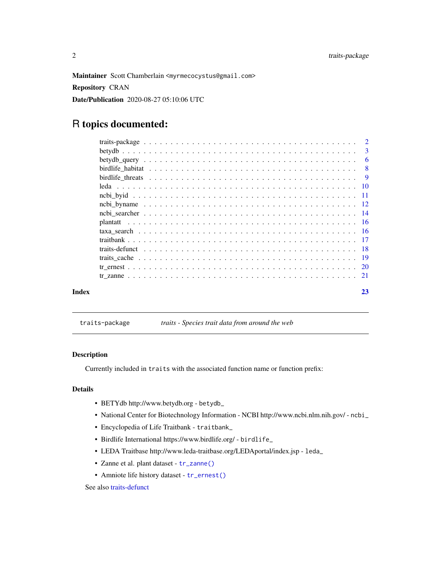<span id="page-1-0"></span>Maintainer Scott Chamberlain <myrmecocystus@gmail.com>

Repository CRAN

Date/Publication 2020-08-27 05:10:06 UTC

# R topics documented:

| Index | 23 |
|-------|----|
|       |    |
|       |    |
|       |    |
|       |    |
|       |    |
|       |    |
|       |    |
|       |    |
|       |    |
|       |    |
|       |    |
|       |    |
|       |    |
|       |    |
|       |    |
|       |    |

# traits-package *traits - Species trait data from around the web*

#### Description

Currently included in traits with the associated function name or function prefix:

# Details

- BETYdb http://www.betydb.org betydb\_
- National Center for Biotechnology Information NCBI http://www.ncbi.nlm.nih.gov/ ncbi\_
- Encyclopedia of Life Traitbank traitbank\_
- Birdlife International https://www.birdlife.org/ birdlife\_
- LEDA Traitbase http://www.leda-traitbase.org/LEDAportal/index.jsp leda\_
- Zanne et al. plant dataset [tr\\_zanne\(\)](#page-20-1)
- Amniote life history dataset [tr\\_ernest\(\)](#page-19-1)

# See also [traits-defunct](#page-17-1)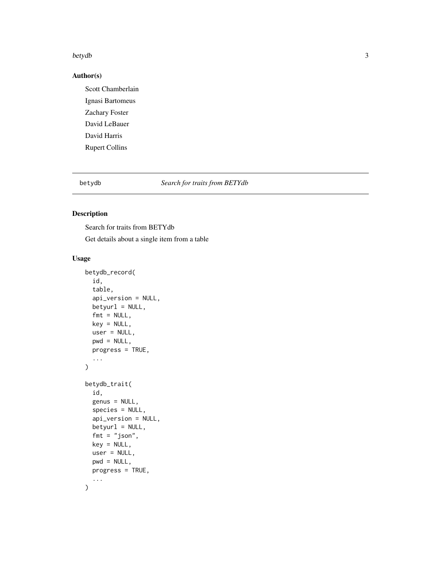#### <span id="page-2-0"></span>betydb $3$

# Author(s)

Scott Chamberlain Ignasi Bartomeus Zachary Foster David LeBauer David Harris Rupert Collins

betydb *Search for traits from BETYdb*

# Description

Search for traits from BETYdb

Get details about a single item from a table

# Usage

```
betydb_record(
  id,
  table,
  api_version = NULL,
 betyurl = NULL,fmt = NULL,key = NULL,
  user = NULL,
  pwd = NULL,progress = TRUE,
  ...
\mathcal{L}betydb_trait(
  id,
  genus = NULL,
  species = NULL,
  api_version = NULL,
  betyurl = NULL,fmt = "json",key = NULL,user = NULL,
  pwd = NULL,progress = TRUE,
  ...
\mathcal{L}
```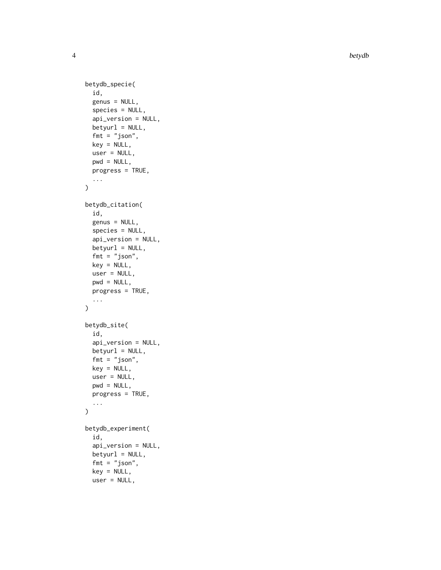4 betydb

```
betydb_specie(
  id,
  genus = NULL,
  species = NULL,
  api_version = NULL,
  betyurl = NULL,fmt = "json",key = NULL,user = NULL,
 pwd = NULL,progress = TRUE,
  ...
\mathcal{L}betydb_citation(
  id,
  genus = NULL,
  species = NULL,
  api_version = NULL,
 betyurl = NULL,fmt = "json",key = NULL,
  user = NULL,
 pwd = NULL,progress = TRUE,
  ...
)
betydb_site(
  id,
  api_version = NULL,
 betyurl = NULL,fmt = "json",key = NULL,user = NULL,
 pwd = NULL,
 progress = TRUE,
  ...
)
betydb_experiment(
  id,
  api_version = NULL,
 betyurl = NULL,fmt = "json",key = NULL,user = NULL,
```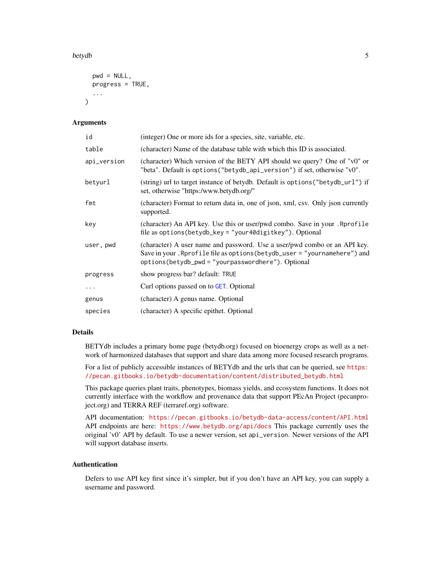#### <span id="page-4-0"></span>betydb 5

```
pwd = NULL,
  progress = TRUE,
  ...
\lambda
```
# Arguments

| id          | (integer) One or more ids for a species, site, variable, etc.                                                                                                                                                |
|-------------|--------------------------------------------------------------------------------------------------------------------------------------------------------------------------------------------------------------|
| table       | (character) Name of the database table with which this ID is associated.                                                                                                                                     |
| api_version | (character) Which version of the BETY API should we query? One of "v0" or<br>"beta". Default is options ("betydb_api_version") if set, otherwise "v0".                                                       |
| betvurl     | (string) url to target instance of betydb. Default is options ("betydb_url") if<br>set, otherwise "https:/www.betydb.org/"                                                                                   |
| fmt         | (character) Format to return data in, one of json, xml, csv. Only json currently<br>supported.                                                                                                               |
| key         | (character) An API key. Use this or user/pwd combo. Save in your . Rprofile<br>file as $options(betydb_{key} = "your40digitkey").$ Optional                                                                  |
| user, pwd   | (character) A user name and password. Use a user/pwd combo or an API key.<br>Save in your. Rprofile file as options (betydb_user = "yournamehere") and<br>options(betydb_pwd = "yourpasswordhere"). Optional |
| progress    | show progress bar? default: TRUE                                                                                                                                                                             |
| .           | Curl options passed on to GET. Optional                                                                                                                                                                      |
| genus       | (character) A genus name. Optional                                                                                                                                                                           |
| species     | (character) A specific epithet. Optional                                                                                                                                                                     |

# Details

BETYdb includes a primary home page (betydb.org) focused on bioenergy crops as well as a network of harmonized databases that support and share data among more focused research programs.

For a list of publicly accessible instances of BETYdb and the urls that can be queried, see [https:](https://pecan.gitbooks.io/betydb-documentation/content/distributed_betydb.html) [//pecan.gitbooks.io/betydb-documentation/content/distributed\\_betydb.html](https://pecan.gitbooks.io/betydb-documentation/content/distributed_betydb.html)

This package queries plant traits, phenotypes, biomass yields, and ecosystem functions. It does not currently interface with the workflow and provenance data that support PEcAn Project (pecanproject.org) and TERRA REF (terraref.org) software.

API documentation: <https://pecan.gitbooks.io/betydb-data-access/content/API.html> API endpoints are here: <https://www.betydb.org/api/docs> This package currently uses the original 'v0' API by default. To use a newer version, set api\_version. Newer versions of the API will support database inserts.

# Authentication

Defers to use API key first since it's simpler, but if you don't have an API key, you can supply a username and password.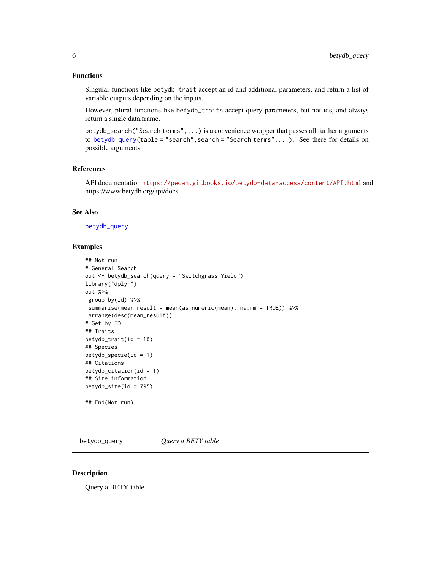# <span id="page-5-0"></span>Functions

Singular functions like betydb\_trait accept an id and additional parameters, and return a list of variable outputs depending on the inputs.

However, plural functions like betydb\_traits accept query parameters, but not ids, and always return a single data.frame.

betydb\_search("Search terms",...) is a convenience wrapper that passes all further arguments to [betydb\\_query\(](#page-5-1)table = "search", search = "Search terms", ...). See there for details on possible arguments.

#### References

API documentation <https://pecan.gitbooks.io/betydb-data-access/content/API.html> and https://www.betydb.org/api/docs

# See Also

#### [betydb\\_query](#page-5-1)

#### Examples

```
## Not run:
# General Search
out <- betydb_search(query = "Switchgrass Yield")
library("dplyr")
out %>%
 group_by(id) %>%
 summarise(mean_result = mean(as.numeric(mean), na.rm = TRUE)) %>%
 arrange(desc(mean_result))
# Get by ID
## Traits
betydb_train(tid = 10)## Species
betydb_specie(id = 1)## Citations
betydb_citation(id = 1)
## Site information
betydb_site(id = 795)
## End(Not run)
```
<span id="page-5-1"></span>betydb\_query *Query a BETY table*

#### Description

Query a BETY table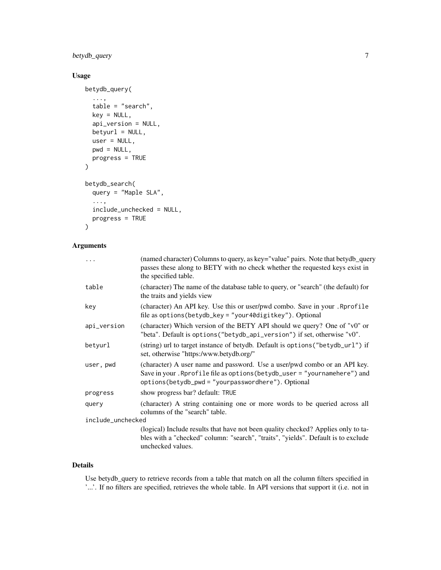betydb\_query 7

# Usage

```
betydb_query(
  ...,
  table = "search",
 key = NULL,
  api_version = NULL,
 betyurl = NULL,user = NULL,
 pwd = NULL,progress = TRUE
)
betydb_search(
  query = "Maple SLA",
  ...,
  include_unchecked = NULL,
 progress = TRUE
\mathcal{L}
```
# Arguments

| $\cdots$          | (named character) Columns to query, as key="value" pairs. Note that betydb_query<br>passes these along to BETY with no check whether the requested keys exist in<br>the specified table.                     |  |
|-------------------|--------------------------------------------------------------------------------------------------------------------------------------------------------------------------------------------------------------|--|
| table             | (character) The name of the database table to query, or "search" (the default) for<br>the traits and yields view                                                                                             |  |
| key               | (character) An API key. Use this or user/pwd combo. Save in your .Rprofile<br>file as options (betydb_key = "your40digitkey"). Optional                                                                      |  |
| api_version       | (character) Which version of the BETY API should we query? One of "v0" or<br>"beta". Default is options ("betydb_api_version") if set, otherwise "v0".                                                       |  |
| betyurl           | (string) url to target instance of betydb. Default is options ("betydb_url") if<br>set, otherwise "https:/www.betydb.org/"                                                                                   |  |
| user, pwd         | (character) A user name and password. Use a user/pwd combo or an API key.<br>Save in your. Rprofile file as options (betydb_user = "yournamehere") and<br>options(betydb_pwd = "yourpasswordhere"). Optional |  |
| progress          | show progress bar? default: TRUE                                                                                                                                                                             |  |
| query             | (character) A string containing one or more words to be queried across all<br>columns of the "search" table.                                                                                                 |  |
| include_unchecked |                                                                                                                                                                                                              |  |
|                   | (logical) Include results that have not been quality checked? Applies only to ta-<br>bles with a "checked" column: "search", "traits", "yields". Default is to exclude<br>unchecked values.                  |  |
|                   |                                                                                                                                                                                                              |  |

# Details

Use betydb\_query to retrieve records from a table that match on all the column filters specified in '...'. If no filters are specified, retrieves the whole table. In API versions that support it (i.e. not in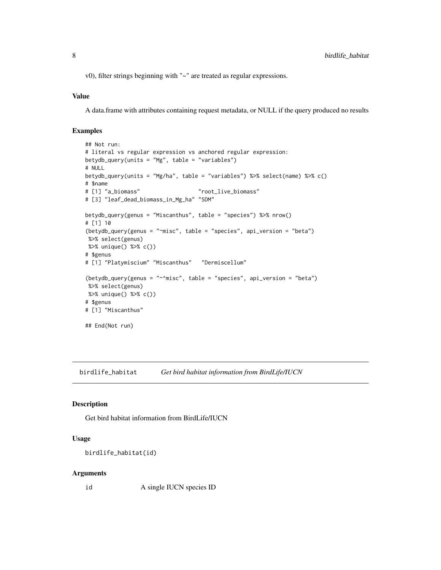<span id="page-7-0"></span>v0), filter strings beginning with "~" are treated as regular expressions.

#### Value

A data.frame with attributes containing request metadata, or NULL if the query produced no results

# Examples

```
## Not run:
# literal vs regular expression vs anchored regular expression:
betydb_query(units = "Mg", table = "variable")# NULL
betydb_query(units = "Mg/ha", table = "variables") %>% select(name) %>% c()
# $name
# [1] "a_biomass" "root_live_biomass"
# [3] "leaf_dead_biomass_in_Mg_ha" "SDM"
betydb_query(genus = "Miscanthus", table = "species") %>% nrow()
# [1] 10
(betydb_query(genus = "~misc", table = "species", api_version = "beta")
%>% select(genus)
%>% unique() %>% c())
# $genus
# [1] "Platymiscium" "Miscanthus" "Dermiscellum"
(betydb_query(genus = "~^misc", table = "species", api_version = "beta")
%>% select(genus)
%>% unique() %>% c())
# $genus
# [1] "Miscanthus"
## End(Not run)
```
<span id="page-7-1"></span>birdlife\_habitat *Get bird habitat information from BirdLife/IUCN*

#### Description

Get bird habitat information from BirdLife/IUCN

#### Usage

```
birdlife_habitat(id)
```
#### Arguments

id A single IUCN species ID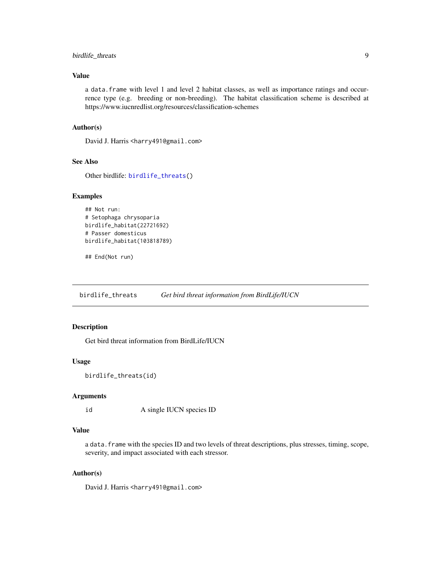# <span id="page-8-0"></span>birdlife\_threats 9

# Value

a data.frame with level 1 and level 2 habitat classes, as well as importance ratings and occurrence type (e.g. breeding or non-breeding). The habitat classification scheme is described at https://www.iucnredlist.org/resources/classification-schemes

## Author(s)

David J. Harris <harry491@gmail.com>

# See Also

Other birdlife: [birdlife\\_threats\(](#page-8-1))

#### Examples

```
## Not run:
# Setophaga chrysoparia
birdlife_habitat(22721692)
# Passer domesticus
birdlife_habitat(103818789)
```
## End(Not run)

<span id="page-8-1"></span>birdlife\_threats *Get bird threat information from BirdLife/IUCN*

# Description

Get bird threat information from BirdLife/IUCN

#### Usage

```
birdlife_threats(id)
```
# Arguments

id A single IUCN species ID

# Value

a data.frame with the species ID and two levels of threat descriptions, plus stresses, timing, scope, severity, and impact associated with each stressor.

#### Author(s)

David J. Harris <harry491@gmail.com>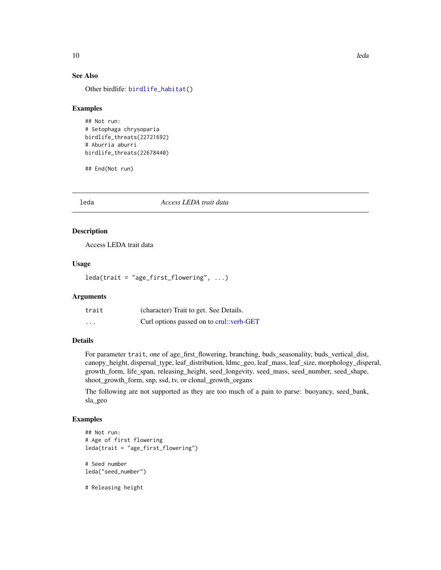# See Also

Other birdlife: [birdlife\\_habitat\(](#page-7-1))

#### Examples

```
## Not run:
# Setophaga chrysoparia
birdlife_threats(22721692)
# Aburria aburri
birdlife_threats(22678440)
```
## End(Not run)

leda *Access LEDA trait data*

#### Description

Access LEDA trait data

# Usage

leda(trait = "age\_first\_flowering", ...)

# Arguments

| trait    | (character) Trait to get. See Details.   |
|----------|------------------------------------------|
| $\cdots$ | Curl options passed on to crul::verb-GET |

# Details

For parameter trait, one of age\_first\_flowering, branching, buds\_seasonality, buds\_vertical\_dist, canopy\_height, dispersal\_type, leaf\_distribution, ldmc\_geo, leaf\_mass, leaf\_size, morphology\_disperal, growth\_form, life\_span, releasing\_height, seed\_longevity, seed\_mass, seed\_number, seed\_shape, shoot\_growth\_form, snp, ssd, tv, or clonal\_growth\_organs

The following are not supported as they are too much of a pain to parse: buoyancy, seed\_bank, sla\_geo

# Examples

```
## Not run:
# Age of first flowering
leda(trait = "age_first_flowering")
# Seed number
leda("seed_number")
```
# Releasing height

<span id="page-9-0"></span>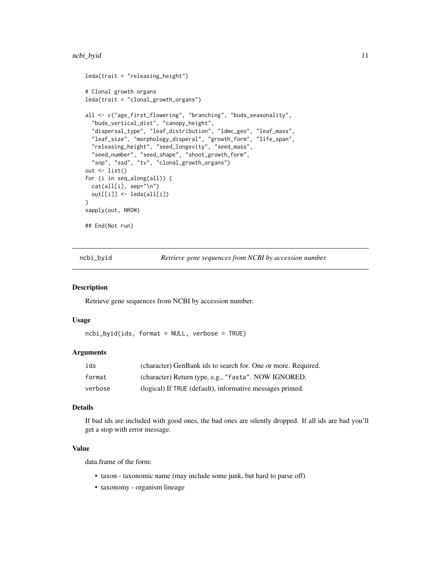#### <span id="page-10-0"></span>ncbi\_byid 11

```
leda(trait = "releasing_height")
# Clonal growth organs
leda(trait = "clonal_growth_organs")
all <- c("age_first_flowering", "branching", "buds_seasonality",
 "buds_vertical_dist", "canopy_height",
 "dispersal_type", "leaf_distribution", "ldmc_geo", "leaf_mass",
 "leaf_size", "morphology_disperal", "growth_form", "life_span",
 "releasing_height", "seed_longevity", "seed_mass",
  "seed_number", "seed_shape", "shoot_growth_form",
  "snp", "ssd", "tv", "clonal_growth_organs")
out <- list()
for (i in seq_along(all)) {
 cat(all[i], sep="\n")
 out[[i]] <- leda(all[i])
}
sapply(out, NROW)
## End(Not run)
```
<span id="page-10-1"></span>ncbi\_byid *Retrieve gene sequences from NCBI by accession number.*

#### Description

Retrieve gene sequences from NCBI by accession number.

#### Usage

ncbi\_byid(ids, format = NULL, verbose = TRUE)

# Arguments

| ids     | (character) GenBank ids to search for. One or more. Required. |
|---------|---------------------------------------------------------------|
| format  | (character) Return type, e.g., "fasta". NOW IGNORED.          |
| verbose | (logical) If TRUE (default), informative messages printed.    |

## Details

If bad ids are included with good ones, the bad ones are silently dropped. If all ids are bad you'll get a stop with error message.

#### Value

data.frame of the form:

- taxon taxonomic name (may include some junk, but hard to parse off)
- taxonomy organism lineage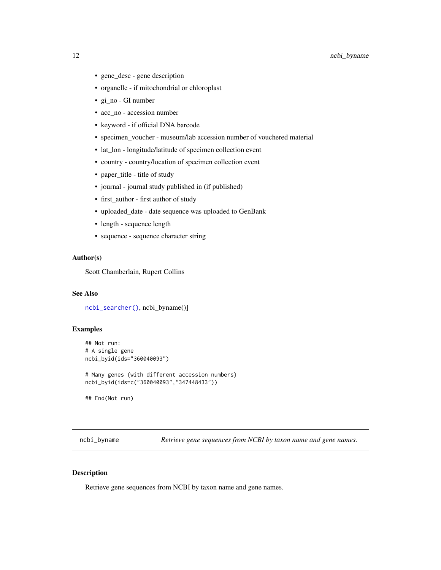- <span id="page-11-0"></span>• gene\_desc - gene description
- organelle if mitochondrial or chloroplast
- gi\_no GI number
- acc\_no accession number
- keyword if official DNA barcode
- specimen\_voucher museum/lab accession number of vouchered material
- lat\_lon longitude/latitude of specimen collection event
- country country/location of specimen collection event
- paper\_title title of study
- journal journal study published in (if published)
- first\_author first author of study
- uploaded\_date date sequence was uploaded to GenBank
- length sequence length
- sequence sequence character string

#### Author(s)

Scott Chamberlain, Rupert Collins

# See Also

[ncbi\\_searcher\(\)](#page-13-1), ncbi\_byname()]

# Examples

```
## Not run:
# A single gene
ncbi_byid(ids="360040093")
# Many genes (with different accession numbers)
ncbi_byid(ids=c("360040093","347448433"))
## End(Not run)
```
<span id="page-11-1"></span>ncbi\_byname *Retrieve gene sequences from NCBI by taxon name and gene names.*

#### Description

Retrieve gene sequences from NCBI by taxon name and gene names.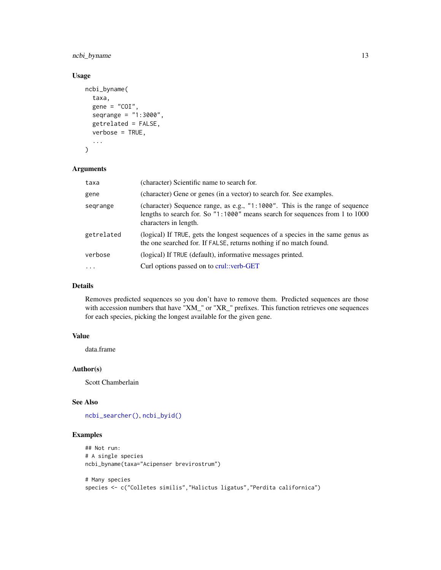<span id="page-12-0"></span>ncbi\_byname 13

# Usage

```
ncbi_byname(
  taxa,
  gene = "COI",seqrange = "1:3000",
  getrelated = FALSE,
  verbose = TRUE,
  ...
\mathcal{L}
```
#### Arguments

| taxa       | (character) Scientific name to search for.                                                                                                                                               |
|------------|------------------------------------------------------------------------------------------------------------------------------------------------------------------------------------------|
| gene       | (character) Gene or genes (in a vector) to search for. See examples.                                                                                                                     |
| segrange   | (character) Sequence range, as e.g., $"1:1000"$ . This is the range of sequence<br>lengths to search for. So "1:1000" means search for sequences from 1 to 1000<br>characters in length. |
| getrelated | (logical) If TRUE, gets the longest sequences of a species in the same genus as<br>the one searched for. If FALSE, returns nothing if no match found.                                    |
| verbose    | (logical) If TRUE (default), informative messages printed.                                                                                                                               |
| $\ddotsc$  | Curl options passed on to crul: verb-GET                                                                                                                                                 |

# Details

Removes predicted sequences so you don't have to remove them. Predicted sequences are those with accession numbers that have "XM\_" or "XR\_" prefixes. This function retrieves one sequences for each species, picking the longest available for the given gene.

# Value

data.frame

# Author(s)

Scott Chamberlain

# See Also

[ncbi\\_searcher\(\)](#page-13-1), [ncbi\\_byid\(\)](#page-10-1)

# Examples

```
## Not run:
# A single species
ncbi_byname(taxa="Acipenser brevirostrum")
# Many species
```

```
species <- c("Colletes similis","Halictus ligatus","Perdita californica")
```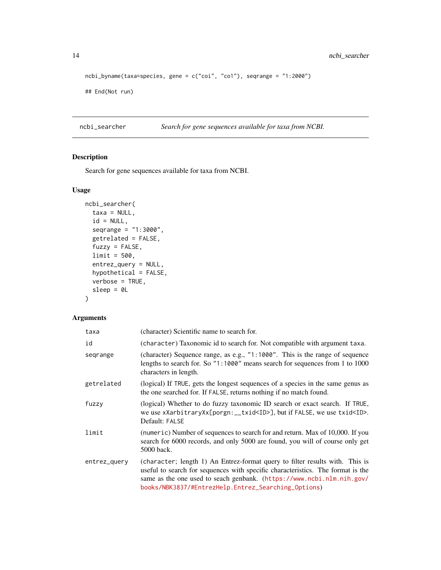```
ncbi_byname(taxa=species, gene = c("coi", "co1"), seqrange = "1:2000")
```
## End(Not run)

<span id="page-13-1"></span>ncbi\_searcher *Search for gene sequences available for taxa from NCBI.*

# Description

Search for gene sequences available for taxa from NCBI.

# Usage

```
ncbi_searcher(
  taxa = NULL,id = NULL,seqrange = "1:3000",
  getrelated = FALSE,
  fuzzy = FALSE,
 limit = 500,
  entrez_query = NULL,
 hypothetical = FALSE,
  verbose = TRUE,
  sleep = 0L
\mathcal{L}
```
# Arguments

| taxa         | (character) Scientific name to search for.                                                                                                                                                                                                                                                      |
|--------------|-------------------------------------------------------------------------------------------------------------------------------------------------------------------------------------------------------------------------------------------------------------------------------------------------|
| id           | (character) Taxonomic id to search for. Not compatible with argument taxa.                                                                                                                                                                                                                      |
| segrange     | (character) Sequence range, as e.g., "1:1000". This is the range of sequence<br>lengths to search for. So "1:1000" means search for sequences from 1 to 1000<br>characters in length.                                                                                                           |
| getrelated   | (logical) If TRUE, gets the longest sequences of a species in the same genus as<br>the one searched for. If FALSE, returns nothing if no match found.                                                                                                                                           |
| fuzzy        | (logical) Whether to do fuzzy taxonomic ID search or exact search. If TRUE,<br>we use xXarbitraryXx[porgn:__txid <id>], but if FALSE, we use txid<id>.<br/>Default: FALSE</id></id>                                                                                                             |
| limit        | (numeric) Number of sequences to search for and return. Max of 10,000. If you<br>search for 6000 records, and only 5000 are found, you will of course only get<br>5000 back.                                                                                                                    |
| entrez_query | (character; length 1) An Entrez-format query to filter results with. This is<br>useful to search for sequences with specific characteristics. The format is the<br>same as the one used to seach genbank. (https://www.ncbi.nlm.nih.gov/<br>books/NBK3837/#EntrezHelp.Entrez_Searching_Options) |

<span id="page-13-0"></span>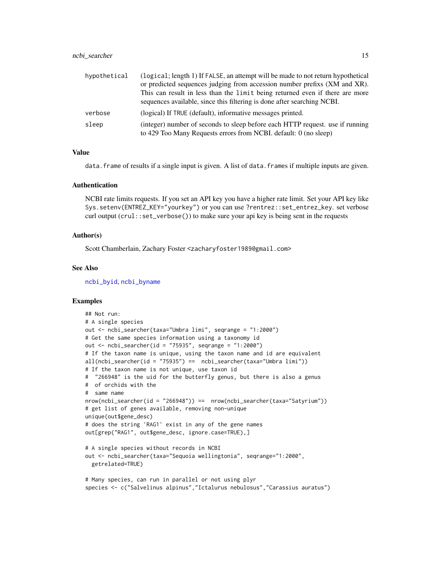<span id="page-14-0"></span>

| hypothetical | (logical; length 1) If FALSE, an attempt will be made to not return hypothetical                                                                  |
|--------------|---------------------------------------------------------------------------------------------------------------------------------------------------|
|              | or predicted sequences judging from accession number prefixs (XM and XR).                                                                         |
|              | This can result in less than the limit being returned even if there are more                                                                      |
|              | sequences available, since this filtering is done after searching NCBI.                                                                           |
| verbose      | (logical) If TRUE (default), informative messages printed.                                                                                        |
| sleep        | (integer) number of seconds to sleep before each HTTP request. use if running<br>to 429 Too Many Requests errors from NCBI. default: 0 (no sleep) |

#### Value

data. frame of results if a single input is given. A list of data. frames if multiple inputs are given.

# Authentication

NCBI rate limits requests. If you set an API key you have a higher rate limit. Set your API key like Sys.setenv(ENTREZ\_KEY="yourkey") or you can use ?rentrez::set\_entrez\_key. set verbose curl output (crul::set\_verbose()) to make sure your api key is being sent in the requests

#### Author(s)

Scott Chamberlain, Zachary Foster <zacharyfoster1989@gmail.com>

#### See Also

[ncbi\\_byid](#page-10-1), [ncbi\\_byname](#page-11-1)

# Examples

```
## Not run:
# A single species
out <- ncbi_searcher(taxa="Umbra limi", seqrange = "1:2000")
# Get the same species information using a taxonomy id
out <- ncbi_searcher(id = "75935", seqrange = "1:2000")
# If the taxon name is unique, using the taxon name and id are equivalent
all(nchi_ssearcher(id = "75935") == nchi_ssearcher(taxa="Umbra limit"))# If the taxon name is not unique, use taxon id
# "266948" is the uid for the butterfly genus, but there is also a genus
# of orchids with the
# same name
nrow(ncbi_searcher(id = "266948")) == nrow(ncbi_searcher(taxa="Satyrium"))
# get list of genes available, removing non-unique
unique(out$gene_desc)
# does the string 'RAG1' exist in any of the gene names
out[grep("RAG1", out$gene_desc, ignore.case=TRUE),]
# A single species without records in NCBI
out <- ncbi_searcher(taxa="Sequoia wellingtonia", seqrange="1:2000",
  getrelated=TRUE)
# Many species, can run in parallel or not using plyr
```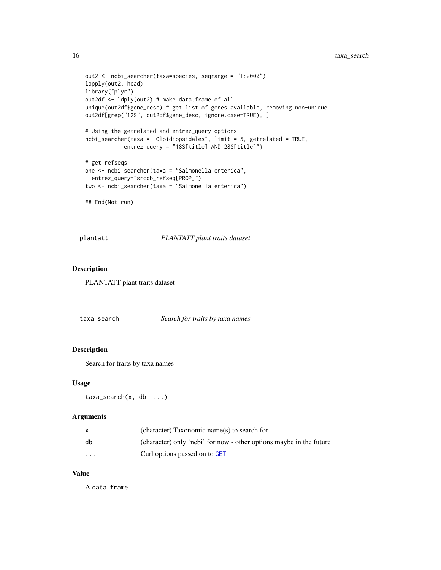```
out2 <- ncbi_searcher(taxa=species, seqrange = "1:2000")
lapply(out2, head)
library("plyr")
out2df <- ldply(out2) # make data.frame of all
unique(out2df$gene_desc) # get list of genes available, removing non-unique
out2df[grep("12S", out2df$gene_desc, ignore.case=TRUE), ]
# Using the getrelated and entrez_query options
ncbi_searcher(taxa = "Olpidiopsidales", limit = 5, getrelated = TRUE,
            entrez_query = "18S[title] AND 28S[title]")
# get refseqs
one <- ncbi_searcher(taxa = "Salmonella enterica",
  entrez_query="srcdb_refseq[PROP]")
two <- ncbi_searcher(taxa = "Salmonella enterica")
## End(Not run)
```
plantatt *PLANTATT plant traits dataset*

# Description

PLANTATT plant traits dataset

taxa\_search *Search for traits by taxa names*

#### Description

Search for traits by taxa names

#### Usage

```
taxa_search(x, db, ...)
```
# Arguments

|          | (character) Taxonomic name(s) to search for                         |
|----------|---------------------------------------------------------------------|
| db       | (character) only 'nebi' for now - other options maybe in the future |
| $\cdots$ | Curl options passed on to GET                                       |

# Value

A data.frame

<span id="page-15-0"></span>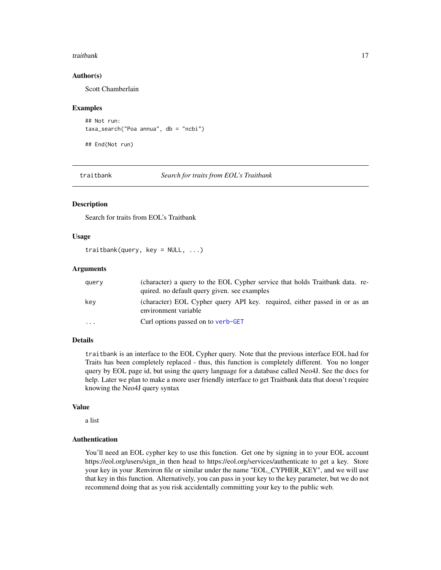#### <span id="page-16-0"></span>traitbank 17

#### Author(s)

Scott Chamberlain

#### Examples

```
## Not run:
taxa_search("Poa annua", db = "ncbi")
```
## End(Not run)

traitbank *Search for traits from EOL's Traitbank*

#### Description

Search for traits from EOL's Traitbank

## Usage

traitbank(query, key =  $NULL, ...)$ 

# Arguments

| query | (character) a query to the EOL Cypher service that holds Traitbank data. re-<br>quired. no default query given, see examples |
|-------|------------------------------------------------------------------------------------------------------------------------------|
| key   | (character) EOL Cypher query API key. required, either passed in or as an<br>environment variable                            |
| .     | Curl options passed on to verb-GET                                                                                           |

# Details

traitbank is an interface to the EOL Cypher query. Note that the previous interface EOL had for Traits has been completely replaced - thus, this function is completely different. You no longer query by EOL page id, but using the query language for a database called Neo4J. See the docs for help. Later we plan to make a more user friendly interface to get Traitbank data that doesn't require knowing the Neo4J query syntax

## Value

a list

# Authentication

You'll need an EOL cypher key to use this function. Get one by signing in to your EOL account https://eol.org/users/sign\_in then head to https://eol.org/services/authenticate to get a key. Store your key in your .Renviron file or similar under the name "EOL\_CYPHER\_KEY", and we will use that key in this function. Alternatively, you can pass in your key to the key parameter, but we do not recommend doing that as you risk accidentally committing your key to the public web.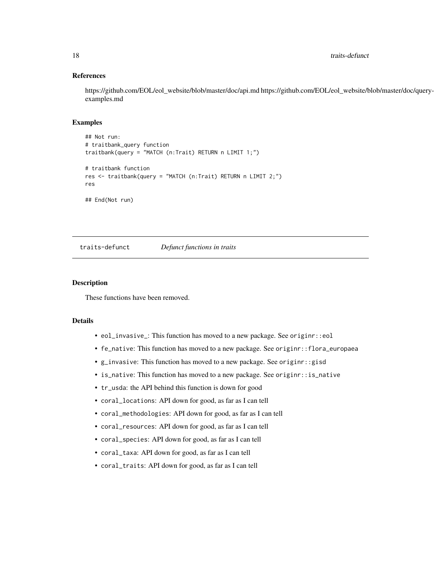# References

https://github.com/EOL/eol\_website/blob/master/doc/api.md https://github.com/EOL/eol\_website/blob/master/doc/queryexamples.md

# Examples

```
## Not run:
# traitbank_query function
traitbank(query = "MATCH (n:Trait) RETURN n LIMIT 1;")
# traitbank function
res <- traitbank(query = "MATCH (n:Trait) RETURN n LIMIT 2;")
res
## End(Not run)
```
<span id="page-17-1"></span>traits-defunct *Defunct functions in traits*

#### Description

These functions have been removed.

# Details

- eol\_invasive\_: This function has moved to a new package. See originr::eol
- fe\_native: This function has moved to a new package. See originr::flora\_europaea
- g\_invasive: This function has moved to a new package. See originr::gisd
- is\_native: This function has moved to a new package. See originr::is\_native
- tr\_usda: the API behind this function is down for good
- coral\_locations: API down for good, as far as I can tell
- coral\_methodologies: API down for good, as far as I can tell
- coral\_resources: API down for good, as far as I can tell
- coral\_species: API down for good, as far as I can tell
- coral\_taxa: API down for good, as far as I can tell
- coral\_traits: API down for good, as far as I can tell

<span id="page-17-0"></span>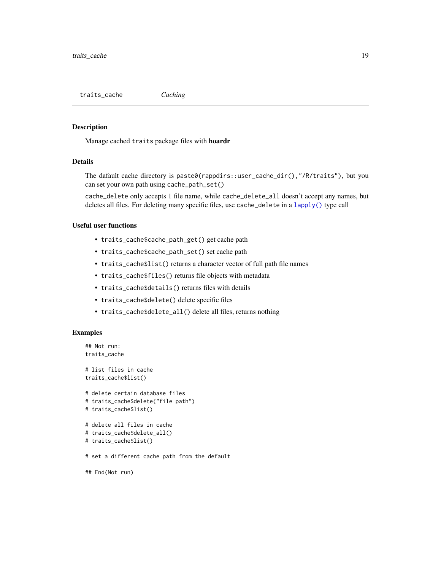<span id="page-18-0"></span>traits\_cache *Caching*

#### Description

Manage cached traits package files with hoardr

# Details

The dafault cache directory is paste0(rappdirs::user\_cache\_dir(),"/R/traits"), but you can set your own path using cache\_path\_set()

cache\_delete only accepts 1 file name, while cache\_delete\_all doesn't accept any names, but deletes all files. For deleting many specific files, use cache\_delete in a [lapply\(\)](#page-0-0) type call

# Useful user functions

- traits\_cache\$cache\_path\_get() get cache path
- traits\_cache\$cache\_path\_set() set cache path
- traits\_cache\$list() returns a character vector of full path file names
- traits\_cache\$files() returns file objects with metadata
- traits\_cache\$details() returns files with details
- traits\_cache\$delete() delete specific files
- traits\_cache\$delete\_all() delete all files, returns nothing

#### Examples

```
## Not run:
traits_cache
# list files in cache
traits_cache$list()
# delete certain database files
# traits_cache$delete("file path")
# traits_cache$list()
# delete all files in cache
# traits_cache$delete_all()
# traits_cache$list()
# set a different cache path from the default
```
## End(Not run)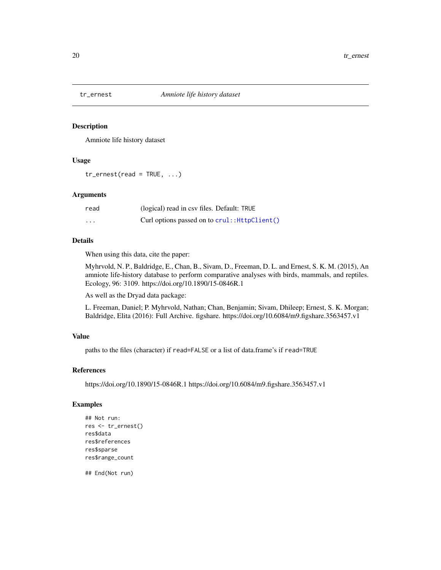<span id="page-19-1"></span><span id="page-19-0"></span>

# Description

Amniote life history dataset

#### Usage

 $tr\_ernest(read = TRUE, ...)$ 

# Arguments

| read     | (logical) read in csy files. Default: TRUE    |
|----------|-----------------------------------------------|
| $\cdots$ | Curl options passed on to crul:: HttpClient() |

### Details

When using this data, cite the paper:

Myhrvold, N. P., Baldridge, E., Chan, B., Sivam, D., Freeman, D. L. and Ernest, S. K. M. (2015), An amniote life-history database to perform comparative analyses with birds, mammals, and reptiles. Ecology, 96: 3109. https://doi.org/10.1890/15-0846R.1

As well as the Dryad data package:

L. Freeman, Daniel; P. Myhrvold, Nathan; Chan, Benjamin; Sivam, Dhileep; Ernest, S. K. Morgan; Baldridge, Elita (2016): Full Archive. figshare. https://doi.org/10.6084/m9.figshare.3563457.v1

# Value

paths to the files (character) if read=FALSE or a list of data.frame's if read=TRUE

#### References

https://doi.org/10.1890/15-0846R.1 https://doi.org/10.6084/m9.figshare.3563457.v1

#### Examples

```
## Not run:
res <- tr_ernest()
res$data
res$references
res$sparse
res$range_count
```
## End(Not run)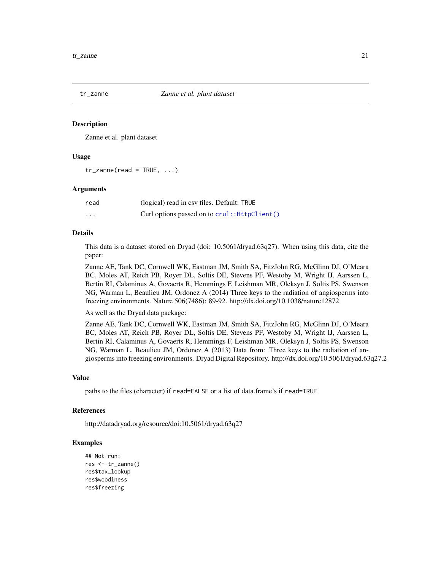<span id="page-20-1"></span><span id="page-20-0"></span>

## Description

Zanne et al. plant dataset

## Usage

 $tr\_zanne(read = TRUE, ...)$ 

#### Arguments

| read | (logical) read in csy files. Default: TRUE    |
|------|-----------------------------------------------|
| .    | Curl options passed on to crul:: HttpClient() |

# Details

This data is a dataset stored on Dryad (doi: 10.5061/dryad.63q27). When using this data, cite the paper:

Zanne AE, Tank DC, Cornwell WK, Eastman JM, Smith SA, FitzJohn RG, McGlinn DJ, O'Meara BC, Moles AT, Reich PB, Royer DL, Soltis DE, Stevens PF, Westoby M, Wright IJ, Aarssen L, Bertin RI, Calaminus A, Govaerts R, Hemmings F, Leishman MR, Oleksyn J, Soltis PS, Swenson NG, Warman L, Beaulieu JM, Ordonez A (2014) Three keys to the radiation of angiosperms into freezing environments. Nature 506(7486): 89-92. http://dx.doi.org/10.1038/nature12872

As well as the Dryad data package:

Zanne AE, Tank DC, Cornwell WK, Eastman JM, Smith SA, FitzJohn RG, McGlinn DJ, O'Meara BC, Moles AT, Reich PB, Royer DL, Soltis DE, Stevens PF, Westoby M, Wright IJ, Aarssen L, Bertin RI, Calaminus A, Govaerts R, Hemmings F, Leishman MR, Oleksyn J, Soltis PS, Swenson NG, Warman L, Beaulieu JM, Ordonez A (2013) Data from: Three keys to the radiation of angiosperms into freezing environments. Dryad Digital Repository. http://dx.doi.org/10.5061/dryad.63q27.2

#### Value

paths to the files (character) if read=FALSE or a list of data.frame's if read=TRUE

#### References

http://datadryad.org/resource/doi:10.5061/dryad.63q27

# Examples

```
## Not run:
res <- tr_zanne()
res$tax_lookup
res$woodiness
res$freezing
```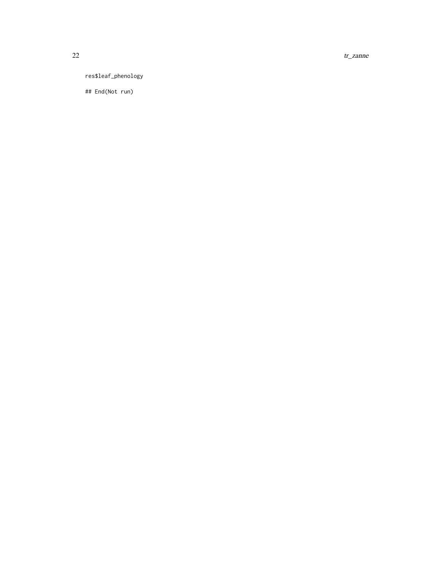22 transmitted to the control of the control of the control of the control of the control of the control of the control of the control of the control of the control of the control of the control of the control of the contr

res\$leaf\_phenology

## End(Not run)